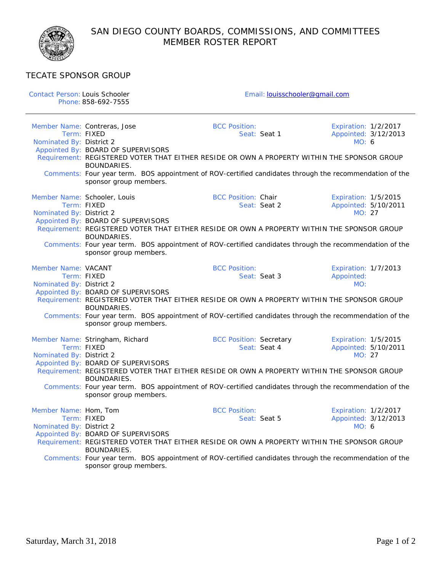

## TECATE SPONSOR GROUP

| Contact Person: Louis Schooler |                                                                                                         | Email: louisschooler@gmail.com |                             |  |  |
|--------------------------------|---------------------------------------------------------------------------------------------------------|--------------------------------|-----------------------------|--|--|
|                                | Phone: 858-692-7555                                                                                     |                                |                             |  |  |
|                                |                                                                                                         |                                |                             |  |  |
|                                | Member Name: Contreras, Jose                                                                            | <b>BCC Position:</b>           | Expiration: 1/2/2017        |  |  |
|                                | Term: FIXED                                                                                             | Seat: Seat 1                   | Appointed: 3/12/2013        |  |  |
| Nominated By: District 2       |                                                                                                         |                                | MO: 6                       |  |  |
|                                | Appointed By: BOARD OF SUPERVISORS                                                                      |                                |                             |  |  |
|                                | Requirement: REGISTERED VOTER THAT EITHER RESIDE OR OWN A PROPERTY WITHIN THE SPONSOR GROUP             |                                |                             |  |  |
|                                | <b>BOUNDARIES.</b>                                                                                      |                                |                             |  |  |
|                                | Comments: Four year term. BOS appointment of ROV-certified candidates through the recommendation of the |                                |                             |  |  |
|                                | sponsor group members.                                                                                  |                                |                             |  |  |
|                                |                                                                                                         |                                |                             |  |  |
|                                | Member Name: Schooler, Louis                                                                            | <b>BCC Position: Chair</b>     | Expiration: 1/5/2015        |  |  |
|                                | Term: FIXED                                                                                             | Seat: Seat 2                   | Appointed: 5/10/2011        |  |  |
| Nominated By: District 2       |                                                                                                         |                                | MO: 27                      |  |  |
|                                | Appointed By: BOARD OF SUPERVISORS                                                                      |                                |                             |  |  |
|                                | Requirement: REGISTERED VOTER THAT EITHER RESIDE OR OWN A PROPERTY WITHIN THE SPONSOR GROUP             |                                |                             |  |  |
|                                | <b>BOUNDARIES.</b>                                                                                      |                                |                             |  |  |
|                                | Comments: Four year term. BOS appointment of ROV-certified candidates through the recommendation of the |                                |                             |  |  |
|                                | sponsor group members.                                                                                  |                                |                             |  |  |
|                                |                                                                                                         |                                |                             |  |  |
| Member Name: VACANT            |                                                                                                         | <b>BCC Position:</b>           | Expiration: 1/7/2013        |  |  |
|                                | Term: FIXED                                                                                             | Seat: Seat 3                   | Appointed:                  |  |  |
| Nominated By: District 2       |                                                                                                         |                                | MO:                         |  |  |
|                                | Appointed By: BOARD OF SUPERVISORS                                                                      |                                |                             |  |  |
|                                | Requirement: REGISTERED VOTER THAT EITHER RESIDE OR OWN A PROPERTY WITHIN THE SPONSOR GROUP             |                                |                             |  |  |
|                                | BOUNDARIES.                                                                                             |                                |                             |  |  |
|                                | Comments: Four year term. BOS appointment of ROV-certified candidates through the recommendation of the |                                |                             |  |  |
|                                | sponsor group members.                                                                                  |                                |                             |  |  |
|                                |                                                                                                         |                                |                             |  |  |
|                                | Member Name: Stringham, Richard                                                                         | <b>BCC Position: Secretary</b> | Expiration: 1/5/2015        |  |  |
|                                | Term: FIXED                                                                                             | Seat: Seat 4                   | Appointed: 5/10/2011        |  |  |
| Nominated By: District 2       |                                                                                                         |                                | MO: 27                      |  |  |
|                                | Appointed By: BOARD OF SUPERVISORS                                                                      |                                |                             |  |  |
|                                | Requirement: REGISTERED VOTER THAT EITHER RESIDE OR OWN A PROPERTY WITHIN THE SPONSOR GROUP             |                                |                             |  |  |
|                                | <b>BOUNDARIES.</b>                                                                                      |                                |                             |  |  |
|                                | Comments: Four year term. BOS appointment of ROV-certified candidates through the recommendation of the |                                |                             |  |  |
|                                | sponsor group members.                                                                                  |                                |                             |  |  |
|                                |                                                                                                         |                                |                             |  |  |
| Member Name: Hom, Tom          |                                                                                                         | <b>BCC Position:</b>           | <b>Expiration: 1/2/2017</b> |  |  |
|                                | Term: FIXED                                                                                             | Seat: Seat 5                   | Appointed: 3/12/2013        |  |  |
| Nominated By: District 2       |                                                                                                         |                                | MO: 6                       |  |  |
|                                | Appointed By: BOARD OF SUPERVISORS                                                                      |                                |                             |  |  |
|                                | Requirement: REGISTERED VOTER THAT EITHER RESIDE OR OWN A PROPERTY WITHIN THE SPONSOR GROUP             |                                |                             |  |  |
|                                | BOUNDARIES.                                                                                             |                                |                             |  |  |
|                                | Comments: Four year term. BOS appointment of ROV-certified candidates through the recommendation of the |                                |                             |  |  |
|                                | sponsor group members.                                                                                  |                                |                             |  |  |